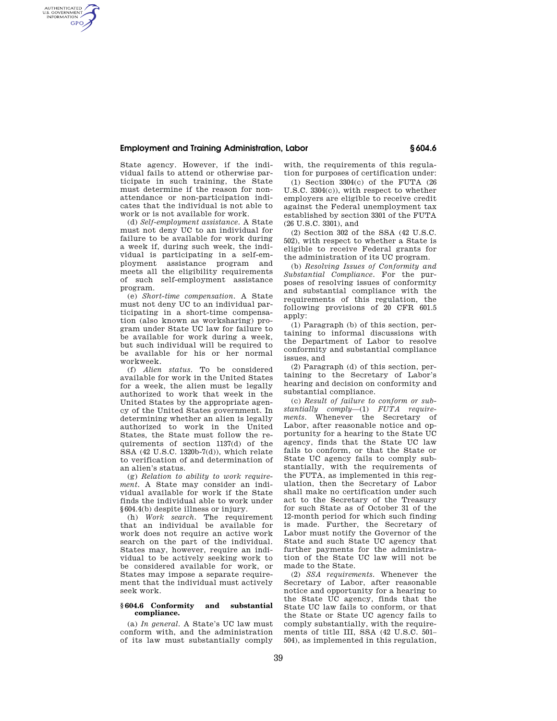# **Employment and Training Administration, Labor § 604.6**

State agency. However, if the individual fails to attend or otherwise participate in such training, the State must determine if the reason for nonattendance or non-participation indicates that the individual is not able to work or is not available for work.

AUTHENTICATED<br>U.S. GOVERNMENT<br>INFORMATION **GPO** 

> (d) *Self-employment assistance.* A State must not deny UC to an individual for failure to be available for work during a week if, during such week, the individual is participating in a self-employment assistance program and meets all the eligibility requirements of such self-employment assistance program.

> (e) *Short-time compensation.* A State must not deny UC to an individual participating in a short-time compensation (also known as worksharing) program under State UC law for failure to be available for work during a week, but such individual will be required to be available for his or her normal workweek.

> (f) *Alien status.* To be considered available for work in the United States for a week, the alien must be legally authorized to work that week in the United States by the appropriate agency of the United States government. In determining whether an alien is legally authorized to work in the United States, the State must follow the requirements of section 1137(d) of the SSA (42 U.S.C. 1320b-7(d)), which relate to verification of and determination of an alien's status.

> (g) *Relation to ability to work requirement.* A State may consider an individual available for work if the State finds the individual able to work under §604.4(b) despite illness or injury.

> (h) *Work search.* The requirement that an individual be available for work does not require an active work search on the part of the individual. States may, however, require an individual to be actively seeking work to be considered available for work, or States may impose a separate requirement that the individual must actively seek work.

#### **§ 604.6 Conformity and substantial compliance.**

(a) *In general.* A State's UC law must conform with, and the administration of its law must substantially comply with, the requirements of this regulation for purposes of certification under:

(1) Section 3304(c) of the FUTA (26 U.S.C. 3304(c)), with respect to whether employers are eligible to receive credit against the Federal unemployment tax established by section 3301 of the FUTA (26 U.S.C. 3301), and

(2) Section 302 of the SSA (42 U.S.C. 502), with respect to whether a State is eligible to receive Federal grants for the administration of its UC program.

(b) *Resolving Issues of Conformity and Substantial Compliance.* For the purposes of resolving issues of conformity and substantial compliance with the requirements of this regulation, the following provisions of 20 CFR 601.5 apply:

(1) Paragraph (b) of this section, pertaining to informal discussions with the Department of Labor to resolve conformity and substantial compliance issues, and

(2) Paragraph (d) of this section, pertaining to the Secretary of Labor's hearing and decision on conformity and substantial compliance.

(c) *Result of failure to conform or substantially comply*—(1) *FUTA requirements.* Whenever the Secretary of Labor, after reasonable notice and opportunity for a hearing to the State UC agency, finds that the State UC law fails to conform, or that the State or State UC agency fails to comply substantially, with the requirements of the FUTA, as implemented in this regulation, then the Secretary of Labor shall make no certification under such act to the Secretary of the Treasury for such State as of October 31 of the 12-month period for which such finding is made. Further, the Secretary of Labor must notify the Governor of the State and such State UC agency that further payments for the administration of the State UC law will not be made to the State.

(2) *SSA requirements.* Whenever the Secretary of Labor, after reasonable notice and opportunity for a hearing to the State UC agency, finds that the State UC law fails to conform, or that the State or State UC agency fails to comply substantially, with the requirements of title III, SSA (42 U.S.C. 501– 504), as implemented in this regulation,